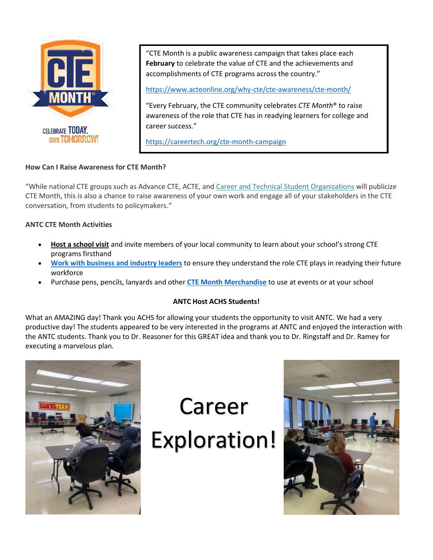

"CTE Month is a public awareness campaign that takes place each **February** to celebrate the value of CTE and the achievements and accomplishments of CTE programs across the country."

<https://www.acteonline.org/why-cte/cte-awareness/cte-month/>

"Every February, the CTE community celebrates *CTE Month*® to raise awareness of the role that CTE has in readying learners for college and career success."

<https://careertech.org/cte-month-campaign>

## **How Can I Raise Awareness for CTE Month?**

"While national CTE groups such as Advance CTE, ACTE, and [Career and Technical Student Organizations](http://www.ctsos.org/) will publicize CTE Month, this is also a chance to raise awareness of your own work and engage all of your stakeholders in the CTE conversation, from students to policymakers."

## **ANTC CTE Month Activities**

- **[Host a school visit](https://www.acteonline.org/why-cte/cte-awareness/cte-month/how-to-host-a-school-visit-or-site-visit/)** and invite members of your local community to learn about your school's strong CTE programs firsthand
- **[Work with business and industry leaders](https://cte.careertech.org/sites/default/files/EmployerResearchReport_KeyMessages.pdf)** to ensure they understand the role CTE plays in readying their future workforce
- Purchase pens, pencils, lanyards and other **[CTE Month Merchandise](http://store.goproline.com/mm5/merchant.mvc?Store_Code=253&Screen=SFNT)** to use at events or at your school

## **ANTC Host ACHS Students!**

What an AMAZING day! Thank you ACHS for allowing your students the opportunity to visit ANTC. We had a very productive day! The students appeared to be very interested in the programs at ANTC and enjoyed the interaction with the ANTC students. Thank you to Dr. Reasoner for this GREAT idea and thank you to Dr. Ringstaff and Dr. Ramey for executing a marvelous plan.



Career Exploration!